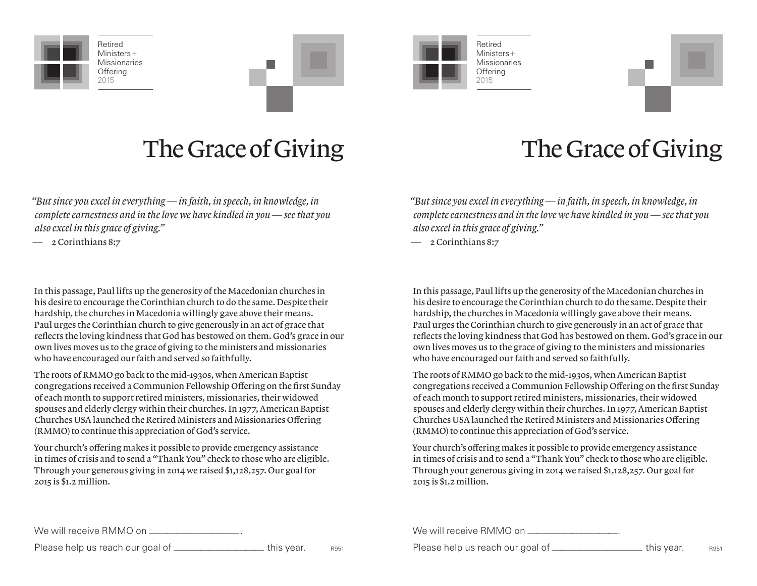

Retired Ministers+ **Missionaries Offering** 2015





Retired Ministers+ **Missionaries Offering** 



*"But since you excel in everything — in faith, in speech, in knowledge, in complete earnestness and in the love we have kindled in you — see that you also excel in this grace of giving."*

— 2 Corinthians 8:7

In this passage, Paul lifts up the generosity of the Macedonian churches in his desire to encourage the Corinthian church to do the same. Despite their hardship, the churches in Macedonia willingly gave above their means. Paul urges the Corinthian church to give generously in an act of grace that reflects the loving kindness that God has bestowed on them. God's grace in our own lives moves us to the grace of giving to the ministers and missionaries who have encouraged our faith and served so faithfully.

The roots of RMMO go back to the mid-1930s, when American Baptist congregations received a Communion Fellowship Offering on the first Sunday of each month to support retired ministers, missionaries, their widowed spouses and elderly clergy within their churches. In 1977, American Baptist Churches USA launched the Retired Ministers and Missionaries Offering (RMMO) to continue this appreciation of God's service.

Your church's offering makes it possible to provide emergency assistance in times of crisis and to send a "Thank You" check to those who are eligible. Through your generous giving in 2014 we raised \$1,128,257. Our goal for 2015 is \$1.2 million.

### The Grace of Giving The Grace of Giving

*"But since you excel in everything — in faith, in speech, in knowledge, in complete earnestness and in the love we have kindled in you — see that you also excel in this grace of giving."*

— 2 Corinthians 8:7

In this passage, Paul lifts up the generosity of the Macedonian churches in his desire to encourage the Corinthian church to do the same. Despite their hardship, the churches in Macedonia willingly gave above their means. Paul urges the Corinthian church to give generously in an act of grace that reflects the loving kindness that God has bestowed on them. God's grace in our own lives moves us to the grace of giving to the ministers and missionaries who have encouraged our faith and served so faithfully.

The roots of RMMO go back to the mid-1930s, when American Baptist congregations received a Communion Fellowship Offering on the first Sunday of each month to support retired ministers, missionaries, their widowed spouses and elderly clergy within their churches. In 1977, American Baptist Churches USA launched the Retired Ministers and Missionaries Offering (RMMO) to continue this appreciation of God's service.

Your church's offering makes it possible to provide emergency assistance in times of crisis and to send a "Thank You" check to those who are eligible. Through your generous giving in 2014 we raised \$1,128,257. Our goal for 2015 is \$1.2 million.

We will receive RMMO on <u>\_\_\_\_\_\_\_\_</u>\_\_\_\_\_\_\_\_\_\_\_\_\_

Please help us reach our goal of \_\_\_\_\_\_\_\_\_\_\_\_\_\_\_\_\_\_\_\_\_\_\_\_ this year. R951

We will receive RMMO on <u>\_\_\_\_\_\_\_\_</u>\_\_\_\_\_\_\_\_\_

Please help us reach our goal of \_\_\_\_\_\_\_\_\_\_\_\_\_\_\_\_\_\_\_\_\_\_\_\_\_ this year. R951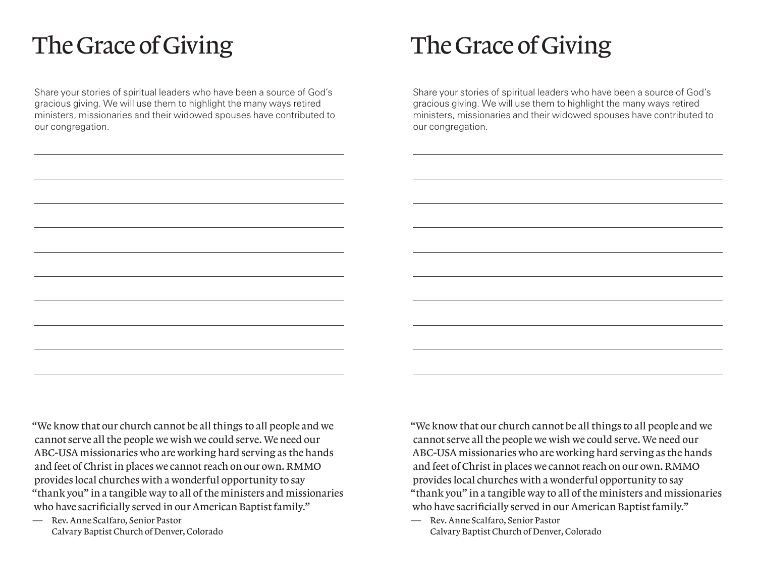## The Grace of Giving The Grace of Giving

Share your stories of spiritual leaders who have been a source of God's gracious giving. We will use them to highlight the many ways retired ministers, missionaries and their widowed spouses have contributed to our congregation.

Share your stories of spiritual leaders who have been a source of God's gracious giving. We will use them to highlight the many ways retired ministers, missionaries and their widowed spouses have contributed to our congregation.

"We know that our church cannot be all things to all people and we cannot serve all the people we wish we could serve. We need our ABC-USA missionaries who are working hard serving as the hands and feet of Christ in places we cannot reach on our own. RMMO provides local churches with a wonderful opportunity to say "thank you" in a tangible way to all of the ministers and missionaries who have sacrificially served in our American Baptist family."

— Rev. Anne Scalfaro, Senior Pastor Calvary Baptist Church of Denver, Colorado "We know that our church cannot be all things to all people and we cannot serve all the people we wish we could serve. We need our ABC-USA missionaries who are working hard serving as the hands and feet of Christ in places we cannot reach on our own. RMMO provides local churches with a wonderful opportunity to say "thank you" in a tangible way to all of the ministers and missionaries who have sacrificially served in our American Baptist family."

— Rev. Anne Scalfaro, Senior Pastor Calvary Baptist Church of Denver, Colorado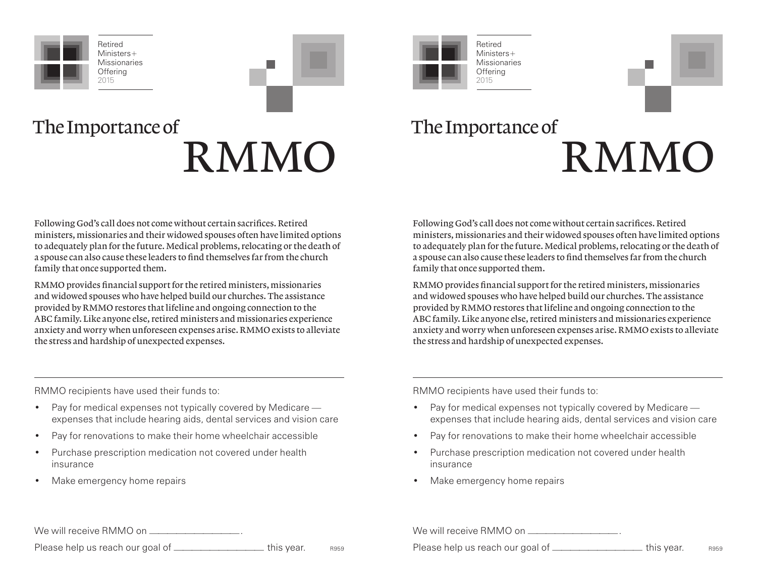

Retired Ministers+ **Missionaries Offering** 2015





The Importance of RMMO

# The Importance of RMMO

Following God's call does not come without certain sacrifices. Retired ministers, missionaries and their widowed spouses often have limited options to adequately plan for the future. Medical problems, relocating or the death of a spouse can also cause these leaders to find themselves far from the church family that once supported them.

RMMO provides financial support for the retired ministers, missionaries and widowed spouses who have helped build our churches. The assistance provided by RMMO restores that lifeline and ongoing connection to the ABC family. Like anyone else, retired ministers and missionaries experience anxiety and worry when unforeseen expenses arise. RMMO exists to alleviate the stress and hardship of unexpected expenses.

Following God's call does not come without certain sacrifices. Retired ministers, missionaries and their widowed spouses often have limited options to adequately plan for the future. Medical problems, relocating or the death of a spouse can also cause these leaders to find themselves far from the church family that once supported them.

RMMO provides financial support for the retired ministers, missionaries and widowed spouses who have helped build our churches. The assistance provided by RMMO restores that lifeline and ongoing connection to the ABC family. Like anyone else, retired ministers and missionaries experience anxiety and worry when unforeseen expenses arise. RMMO exists to alleviate the stress and hardship of unexpected expenses.

RMMO recipients have used their funds to:

- Pay for medical expenses not typically covered by Medicare expenses that include hearing aids, dental services and vision care
- Pay for renovations to make their home wheelchair accessible
- Purchase prescription medication not covered under health insurance
- Make emergency home repairs

RMMO recipients have used their funds to:

- Pay for medical expenses not typically covered by Medicare expenses that include hearing aids, dental services and vision care
- Pay for renovations to make their home wheelchair accessible
- Purchase prescription medication not covered under health insurance
- Make emergency home repairs

| We will receive RMMO on __                          |      | We will receive RMMO on _          |
|-----------------------------------------------------|------|------------------------------------|
| Please help us reach our goal of ____<br>this year. | R959 | Please help us reach our goal of _ |

| help us reach our goal of _ | this vear. | R959 |
|-----------------------------|------------|------|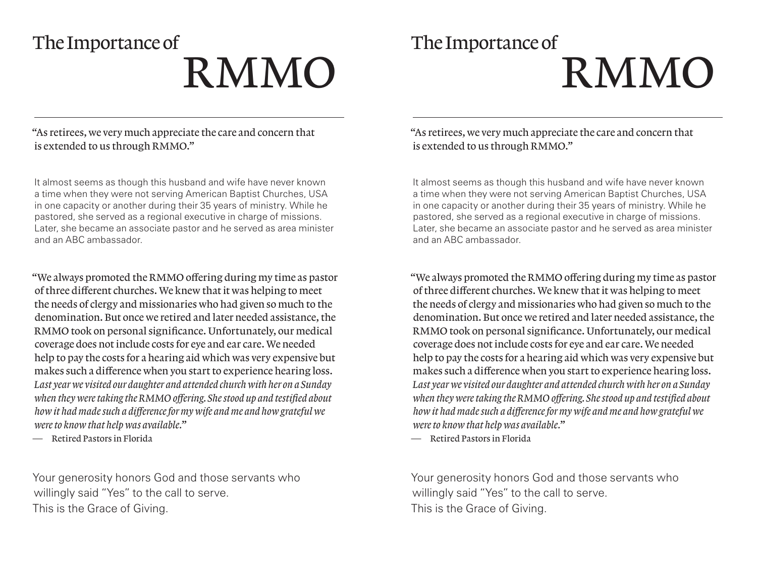# The Importance of RMMO

# The Importance of RMMO

"As retirees, we very much appreciate the care and concern that is extended to us through RMMO."

It almost seems as though this husband and wife have never known a time when they were not serving American Baptist Churches, USA in one capacity or another during their 35 years of ministry. While he pastored, she served as a regional executive in charge of missions. Later, she became an associate pastor and he served as area minister and an ABC ambassador.

"We always promoted the RMMO offering during my time as pastor of three different churches. We knew that it was helping to meet the needs of clergy and missionaries who had given so much to the denomination. But once we retired and later needed assistance, the RMMO took on personal significance. Unfortunately, our medical coverage does not include costs for eye and ear care. We needed help to pay the costs for a hearing aid which was very expensive but makes such a difference when you start to experience hearing loss. *Last year we visited our daughter and attended church with her on a Sunday when they were taking the RMMO offering. She stood up and testified about how it had made such a difference for my wife and me and how grateful we were to know that help was available.*"

— Retired Pastors in Florida

Your generosity honors God and those servants who willingly said "Yes" to the call to serve. This is the Grace of Giving.

"As retirees, we very much appreciate the care and concern that is extended to us through RMMO."

It almost seems as though this husband and wife have never known a time when they were not serving American Baptist Churches, USA in one capacity or another during their 35 years of ministry. While he pastored, she served as a regional executive in charge of missions. Later, she became an associate pastor and he served as area minister and an ABC ambassador.

"We always promoted the RMMO offering during my time as pastor of three different churches. We knew that it was helping to meet the needs of clergy and missionaries who had given so much to the denomination. But once we retired and later needed assistance, the RMMO took on personal significance. Unfortunately, our medical coverage does not include costs for eye and ear care. We needed help to pay the costs for a hearing aid which was very expensive but makes such a difference when you start to experience hearing loss. *Last year we visited our daughter and attended church with her on a Sunday when they were taking the RMMO offering. She stood up and testified about how it had made such a difference for my wife and me and how grateful we were to know that help was available.*"

— Retired Pastors in Florida

Your generosity honors God and those servants who willingly said "Yes" to the call to serve. This is the Grace of Giving.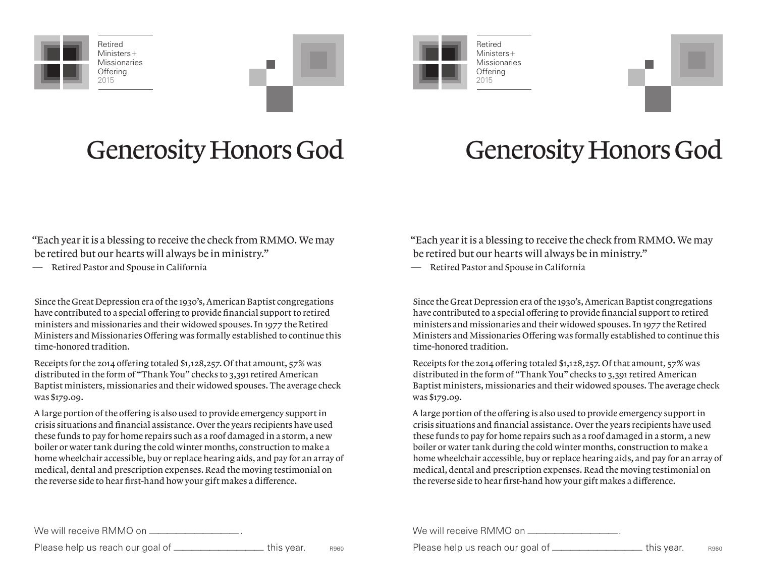

Retired Ministers+ **Missionaries Offering** 2015







## Generosity Honors God Generosity Honors God

"Each year it is a blessing to receive the check from RMMO. We may be retired but our hearts will always be in ministry."

— Retired Pastor and Spouse in California

Since the Great Depression era of the 1930's, American Baptist congregations have contributed to a special offering to provide financial support to retired ministers and missionaries and their widowed spouses. In 1977 the Retired Ministers and Missionaries Offering was formally established to continue this time-honored tradition.

Receipts for the 2014 offering totaled \$1,128,257. Of that amount, 57% was distributed in the form of "Thank You" checks to 3,391 retired American Baptist ministers, missionaries and their widowed spouses. The average check was \$179.09.

A large portion of the offering is also used to provide emergency support in crisis situations and financial assistance. Over the years recipients have used these funds to pay for home repairs such as a roof damaged in a storm, a new boiler or water tank during the cold winter months, construction to make a home wheelchair accessible, buy or replace hearing aids, and pay for an array of medical, dental and prescription expenses. Read the moving testimonial on the reverse side to hear first-hand how your gift makes a difference.

"Each year it is a blessing to receive the check from RMMO. We may be retired but our hearts will always be in ministry."

— Retired Pastor and Spouse in California

Since the Great Depression era of the 1930's, American Baptist congregations have contributed to a special offering to provide financial support to retired ministers and missionaries and their widowed spouses. In 1977 the Retired Ministers and Missionaries Offering was formally established to continue this time-honored tradition.

Receipts for the 2014 offering totaled \$1,128,257. Of that amount, 57% was distributed in the form of "Thank You" checks to 3,391 retired American Baptist ministers, missionaries and their widowed spouses. The average check was \$179.09.

A large portion of the offering is also used to provide emergency support in crisis situations and financial assistance. Over the years recipients have used these funds to pay for home repairs such as a roof damaged in a storm, a new boiler or water tank during the cold winter months, construction to make a home wheelchair accessible, buy or replace hearing aids, and pay for an array of medical, dental and prescription expenses. Read the moving testimonial on the reverse side to hear first-hand how your gift makes a difference.

| We will receive RMMO on ___              |            |      | We will receive RMMO on _ |            |      |
|------------------------------------------|------------|------|---------------------------|------------|------|
| Please help us reach our goal of _______ | this vear. | R960 |                           | this vear. | R960 |